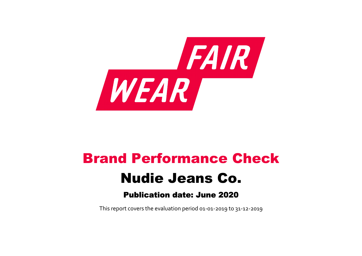

# Brand Performance Check Nudie Jeans Co. Publication date: June 2020

This report covers the evaluation period 01‐01‐2019 to 31‐12‐2019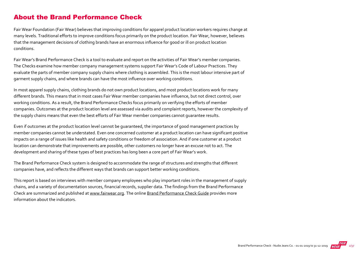#### About the Brand Performance Check

Fair Wear Foundation (Fair Wear) believes that improving conditions for apparel product location workers requires change at many levels. Traditional efforts to improve conditions focus primarily on the product location. Fair Wear, however, believes that the management decisions of clothing brands have an enormous influence for good or ill on product location conditions.

Fair Wear's Brand Performance Check is a tool to evaluate and report on the activities of Fair Wear's member companies. The Checks examine how member company management systems support Fair Wear's Code of Labour Practices. They evaluate the parts of member company supply chains where clothing is assembled. This is the most labour intensive part of garment supply chains, and where brands can have the most influence over working conditions.

In most apparel supply chains, clothing brands do not own product locations, and most product locations work for many different brands. This means that in most cases Fair Wear member companies have influence, but not direct control, over working conditions. As a result, the Brand Performance Checks focus primarily on verifying the efforts of member companies. Outcomes at the product location level are assessed via audits and complaint reports, however the complexity of the supply chains means that even the best efforts of Fair Wear member companies cannot guarantee results.

Even if outcomes at the product location level cannot be guaranteed, the importance of good management practices by member companies cannot be understated. Even one concerned customer at a product location can have significant positive impacts on a range of issues like health and safety conditions or freedom of association. And if one customer at a product location can demonstrate that improvements are possible, other customers no longer have an excuse not to act. The development and sharing of these types of best practices has long been a core part of Fair Wear's work.

The Brand Performance Check system is designed to accommodate the range of structures and strengths that different companies have, and reflects the different ways that brands can support better working conditions.

This report is based on interviews with member company employees who play important roles in the management of supply chains, and a variety of documentation sources, financial records, supplier data. The findings from the Brand Performance Check are summarized and published at [www.fairwear.org](http://www.fairwear.org/). The online [Brand Performance Check Guide](https://api.fairwear.org/wp-content/uploads/2020/03/FWF_BrandPerformanceCheckGuide-DEF.pdf) provides more information about the indicators.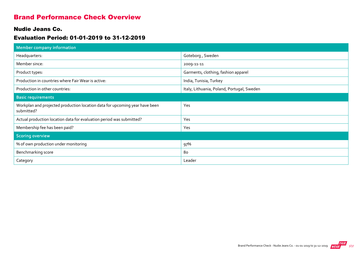### Brand Performance Check Overview

#### Nudie Jeans Co.

#### Evaluation Period: 01-01-2019 to 31-12-2019

| <b>Member company information</b>                                                         |                                            |
|-------------------------------------------------------------------------------------------|--------------------------------------------|
| Headquarters:                                                                             | Goteborg, Sweden                           |
| Member since:                                                                             | 2009-11-11                                 |
| Product types:                                                                            | Garments, clothing, fashion apparel        |
| Production in countries where Fair Wear is active:                                        | India, Tunisia, Turkey                     |
| Production in other countries:                                                            | Italy, Lithuania, Poland, Portugal, Sweden |
| <b>Basic requirements</b>                                                                 |                                            |
| Workplan and projected production location data for upcoming year have been<br>submitted? | Yes                                        |
| Actual production location data for evaluation period was submitted?                      | Yes                                        |
| Membership fee has been paid?                                                             | Yes                                        |
| <b>Scoring overview</b>                                                                   |                                            |
| % of own production under monitoring                                                      | 97%                                        |
| Benchmarking score                                                                        | 80                                         |
| Category                                                                                  | Leader                                     |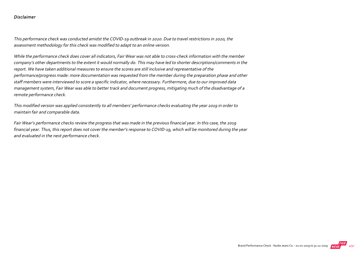#### Disclaimer

This performance check was conducted amidst the COVID‐19 outbreak in 2020. Due to travel restrictions in 2020, the assessment methodology for this check was modified to adapt to an online version.

While the performance check does cover all indicators, Fair Wear was not able to cross-check information with the member company's other departments to the extent it would normally do. This may have led to shorter descriptions/comments in the report. We have taken additional measures to ensure the scores are still inclusive and representative of the performance/progress made: more documentation was requested from the member during the preparation phase and other staff members were interviewed to score a specific indicator, where necessary. Furthermore, due to our improved data management system, Fair Wear was able to better track and document progress, mitigating much of the disadvantage of a remote performance check.

This modified version was applied consistently to all members' performance checks evaluating the year 2019 in order to maintain fair and comparable data.

Fair Wear's performance checks review the progress that was made in the previous financial year. In this case, the 2019 financial year. Thus, this report does not cover the member's response to COVID-19, which will be monitored during the year and evaluated in the next performance check.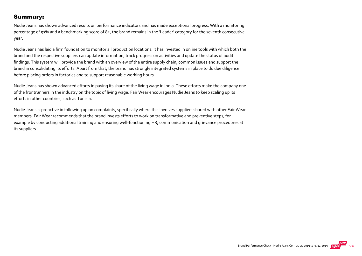#### Summary:

Nudie Jeans has shown advanced results on performance indicators and has made exceptional progress. With a monitoring percentage of 97% and a benchmarking score of 82, the brand remains in the 'Leader' category for the seventh consecutive year.

Nudie Jeans has laid a firm foundation to monitor all production locations. It has invested in online tools with which both the brand and the respective suppliers can update information, track progress on activities and update the status of audit findings. This system will provide the brand with an overview of the entire supply chain, common issues and support the brand in consolidating its efforts. Apart from that, the brand has strongly integrated systems in place to do due diligence before placing orders in factories and to support reasonable working hours.

Nudie Jeans has shown advanced efforts in paying its share of the living wage in India. These efforts make the company one of the frontrunners in the industry on the topic of living wage. Fair Wear encourages Nudie Jeans to keep scaling up its efforts in other countries, such as Tunisia.

Nudie Jeans is proactive in following up on complaints, specifically where this involves suppliers shared with other Fair Wear members. Fair Wear recommends that the brand invests efforts to work on transformative and preventive steps, for example by conducting additional training and ensuring well-functioning HR, communication and grievance procedures at its suppliers.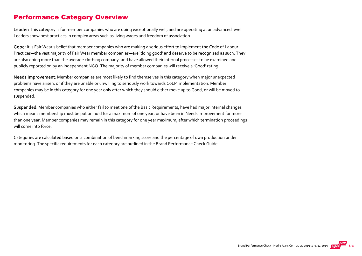### Performance Category Overview

Leader: This category is for member companies who are doing exceptionally well, and are operating at an advanced level. Leaders show best practices in complex areas such as living wages and freedom of association.

Good: It is Fair Wear's belief that member companies who are making a serious effort to implement the Code of Labour Practices—the vast majority of Fair Wear member companies—are 'doing good' and deserve to be recognized as such. They are also doing more than the average clothing company, and have allowed their internal processes to be examined and publicly reported on by an independent NGO. The majority of member companies will receive a 'Good' rating.

Needs Improvement: Member companies are most likely to find themselves in this category when major unexpected problems have arisen, or if they are unable or unwilling to seriously work towards CoLP implementation. Member companies may be in this category for one year only after which they should either move up to Good, or will be moved to suspended.

Suspended: Member companies who either fail to meet one of the Basic Requirements, have had major internal changes which means membership must be put on hold for a maximum of one year, or have been in Needs Improvement for more than one year. Member companies may remain in this category for one year maximum, after which termination proceedings will come into force.

Categories are calculated based on a combination of benchmarking score and the percentage of own production under monitoring. The specific requirements for each category are outlined in the Brand Performance Check Guide.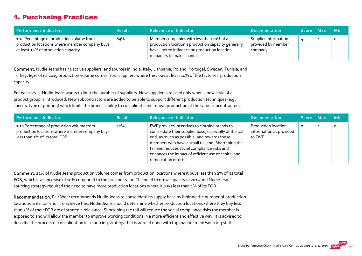## 1. Purchasing Practices

| Performance indicators                                                                                                              | <b>Result</b> | <b>Relevance of Indicator</b>                                                                                                                                                 | <b>Documentation</b>                                   | Score Max | <b>Min</b> |
|-------------------------------------------------------------------------------------------------------------------------------------|---------------|-------------------------------------------------------------------------------------------------------------------------------------------------------------------------------|--------------------------------------------------------|-----------|------------|
| 1.1a Percentage of production volume from<br>production locations where member company buys<br>at least 10% of production capacity. | 89%           | Member companies with less than 10% of a<br>production location's production capacity generally<br>have limited influence on production location<br>managers to make changes. | Supplier information<br>provided by member<br>company. |           | $\circ$    |

Comment: Nudie Jeans has 51 active suppliers, and sources in India, Italy, Lithuania, Poland, Portugal, Sweden, Tunisia, and Turkey. 89% of its 2019 production volume comes from suppliers where they buy at least 10% of the factories' production capacity.

For each style, Nudie Jeans wants to limit the number of suppliers. New suppliers are used only when a new style of a product group is introduced. New subcontractors are added to be able to support different production techniques (e.g. specific type of printing) which limits the brand's ability to consolidate and repeat production at the same subcontractors.

| Performance indicators                                                                                                        | <b>Result</b> | <b>Relevance of Indicator</b>                                                                                                                                                                                                                                                                                                               | <b>Documentation</b>                                             | Score Max | <b>Min</b> |
|-------------------------------------------------------------------------------------------------------------------------------|---------------|---------------------------------------------------------------------------------------------------------------------------------------------------------------------------------------------------------------------------------------------------------------------------------------------------------------------------------------------|------------------------------------------------------------------|-----------|------------|
| 1.1b Percentage of production volume from<br>production locations where member company buys<br>less than 2% of its total FOB. | 22%           | FWF provides incentives to clothing brands to<br>consolidate their supplier base, especially at the tail<br>end, as much as possible, and rewards those<br>members who have a small tail end. Shortening the<br>tail end reduces social compliance risks and<br>enhances the impact of efficient use of capital and<br>remediation efforts. | <b>Production location</b><br>information as provided<br>to FWF. | $\circ$   | $\circ$    |

Comment: 22% of Nudie Jeans production volume comes from production locations where it buys less than 2% of its total FOB, which is an increase of 10% compared to the previous year. The need to grow capacity in 2019 and Nudie Jeans' sourcing strategy required the need to have more production locations where it buys less than 2% of its FOB.

Recommendation: Fair Wear recommends Nudie Jeans to consolidate its supply base by limiting the number of production locations in its 'tail end'. To achieve this, Nudie Jeans should determine whether production locations where they buy less than 2% of their FOB are of strategic relevance. Shortening the tail will reduce the social compliance risks the member is exposed to and will allow the member to improve working conditions in a more efficient and effective way. It is advised to describe the process of consolidation in a sourcing strategy that is agreed upon with top management/sourcing staff.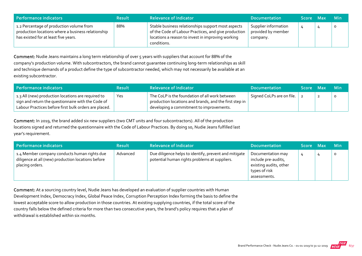| Performance indicators                                                                                                                 | <b>Result</b> | <b>Relevance of Indicator</b>                                                                                                                                                  | <b>Documentation</b>                                   | <b>Score</b> | Max | <b>Min</b> |
|----------------------------------------------------------------------------------------------------------------------------------------|---------------|--------------------------------------------------------------------------------------------------------------------------------------------------------------------------------|--------------------------------------------------------|--------------|-----|------------|
| 1.2 Percentage of production volume from<br>production locations where a business relationship<br>has existed for at least five years. | 88%           | Stable business relationships support most aspects<br>of the Code of Labour Practices, and give production<br>locations a reason to invest in improving working<br>conditions. | Supplier information<br>provided by member<br>company. |              |     | $\circ$    |

Comment: Nudie Jeans maintains a long term relationship of over 5 years with suppliers that account for 88% of the company's production volume. With subcontractors, the brand cannot guarantee continuing long‐term relationships as skill and technique demands of a product define the type of subcontractor needed, which may not necessarily be available at an existing subcontractor.

| l Performance indicators                                                                                                                                          | <b>Result</b> | <b>Relevance of Indicator</b>                                                                                                                        | <b>Documentation</b>      | Score Max | <b>Min</b> |
|-------------------------------------------------------------------------------------------------------------------------------------------------------------------|---------------|------------------------------------------------------------------------------------------------------------------------------------------------------|---------------------------|-----------|------------|
| 1.3 All (new) production locations are required to<br>sign and return the questionnaire with the Code of<br>Labour Practices before first bulk orders are placed. | Yes           | The CoLP is the foundation of all work between<br>production locations and brands, and the first step in<br>developing a commitment to improvements. | Signed CoLPs are on file. |           |            |

Comment: In 2019, the brand added six new suppliers (two CMT units and four subcontractors). All of the production locations signed and returned the questionnaire with the Code of Labour Practices. By doing so, Nudie Jeans fulfilled last year's requirement.

| Performance indicators                                                                                                | <b>Result</b> | <b>Relevance of Indicator</b>                                                                          | <b>Documentation</b>                                                                                | <b>Score</b> | / Max | <b>Min</b> |
|-----------------------------------------------------------------------------------------------------------------------|---------------|--------------------------------------------------------------------------------------------------------|-----------------------------------------------------------------------------------------------------|--------------|-------|------------|
| 1.4 Member company conducts human rights due<br>diligence at all (new) production locations before<br>placing orders. | Advanced      | Due diligence helps to identify, prevent and mitigate<br>potential human rights problems at suppliers. | Documentation may<br>include pre-audits,<br>existing audits, other<br>types of risk<br>assessments. |              |       | O          |

Comment: At a sourcing country level, Nudie Jeans has developed an evaluation of supplier countries with Human Development Index, Democracy Index, Global Peace Index, Corruption Perception Index forming the basis to define the lowest acceptable score to allow production in those countries. At existing supplying countries, if the total score of the country falls below the defined criteria for more than two consecutive years, the brand's policy requires that a plan of withdrawal is established within six months.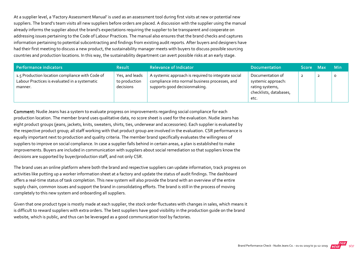At a supplier level, a 'Factory Assessment Manual' is used as an assessment tool during first visits at new or potential new suppliers. The brand's team visits all new suppliers before orders are placed. A discussion with the supplier using the manual already informs the supplier about the brand's expectations requiring the supplier to be transparent and cooperate on addressing issues pertaining to the Code of Labour Practices. The manual also ensures that the brand checks and captures information pertaining to potential subcontracting and findings from existing audit reports. After buyers and designers have had their first meeting to discuss a new product, the sustainability manager meets with buyers to discuss possible sourcing countries and production locations. In this way, the sustainability department can avert possible risks at an early stage.

| Performance indicators                                                                                      | <b>Result</b>                                | <b>Relevance of Indicator</b>                                                                                                          | <b>Documentation</b>                                                                        | Score Max | <b>Min</b> |
|-------------------------------------------------------------------------------------------------------------|----------------------------------------------|----------------------------------------------------------------------------------------------------------------------------------------|---------------------------------------------------------------------------------------------|-----------|------------|
| 1.5 Production location compliance with Code of<br>Labour Practices is evaluated in a systematic<br>manner. | Yes, and leads<br>to production<br>decisions | A systemic approach is required to integrate social<br>compliance into normal business processes, and<br>supports good decisionmaking. | Documentation of<br>systemic approach:<br>rating systems,<br>checklists, databases,<br>etc. |           |            |

Comment: Nudie Jeans has a system to evaluate progress on improvements regarding social compliance for each production location. The member brand uses qualitative data, no score sheet is used for the evaluation. Nudie Jeans has eight product groups (jeans, jackets, knits, sweaters, shirts, ties, underwear and accessories). Each supplier is evaluated by the respective product group; all staff working with that product group are involved in the evaluation. CSR performance is equally important next to production and quality criteria. The member brand specifically evaluates the willingness of suppliers to improve on social compliance. In case a supplier falls behind in certain areas, a plan is established to make improvements. Buyers are included in communication with suppliers about social remediation so that suppliers know the decisions are supported by buyer/production staff, and not only CSR.

The brand uses an online platform where both the brand and respective suppliers can update information, track progress on activities like putting up a worker information sheet at a factory and update the status of audit findings. The dashboard offers a real‐time status of task completion. This new system will also provide the brand with an overview of the entire supply chain, common issues and support the brand in consolidating efforts. The brand is still in the process of moving completely to this new system and onboarding all suppliers.

Given that one product type is mostly made at each supplier, the stock order fluctuates with changes in sales, which means it is difficult to reward suppliers with extra orders. The best suppliers have good visibility in the production guide on the brand website, which is public, and thus can be leveraged as a good communication tool by factories.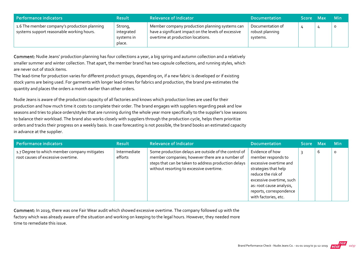| Performance indicators                                                                    | <b>Result</b>                                 | <b>Relevance of Indicator</b>                                                                                                               | <b>Documentation</b>                            | Score Max | Min     |
|-------------------------------------------------------------------------------------------|-----------------------------------------------|---------------------------------------------------------------------------------------------------------------------------------------------|-------------------------------------------------|-----------|---------|
| 1.6 The member company's production planning<br>systems support reasonable working hours. | Strong,<br>integrated<br>systems in<br>place. | Member company production planning systems can<br>have a significant impact on the levels of excessive<br>overtime at production locations. | Documentation of<br>robust planning<br>systems. |           | $\circ$ |

Comment: Nudie Jeans' production planning has four collections a year, a big spring and autumn collection and a relatively smaller summer and winter collection. That apart, the member brand has two capsule collections, and running styles, which are never out of stock items.

The lead-time for production varies for different product groups, depending on, if a new fabric is developed or if existing stock yarns are being used. For garments with longer lead‐times for fabrics and production, the brand pre‐estimates the quantity and places the orders a month earlier than other orders.

Nudie Jeans is aware of the production capacity of all factories and knows which production lines are used for their production and how much time it costs to complete their order. The brand engages with suppliers regarding peak and low seasons and tries to place orders/styles that are running during the whole year more specifically to the supplier's low seasons to balance their workload. The brand also works closely with suppliers through the production cycle, helps them prioritize orders and tracks their progress on a weekly basis. In case forecasting is not possible, the brand books an estimated capacity in advance at the supplier.

| Performance indicators                                                             | <b>Result</b>           | <b>Relevance of Indicator</b>                                                                                                                                                                               | <b>Documentation</b>                                                                                                                                                                                                     | Score Max |   | <b>Min</b> |
|------------------------------------------------------------------------------------|-------------------------|-------------------------------------------------------------------------------------------------------------------------------------------------------------------------------------------------------------|--------------------------------------------------------------------------------------------------------------------------------------------------------------------------------------------------------------------------|-----------|---|------------|
| 1.7 Degree to which member company mitigates<br>root causes of excessive overtime. | Intermediate<br>efforts | Some production delays are outside of the control of<br>member companies; however there are a number of<br>steps that can be taken to address production delays<br>without resorting to excessive overtime. | Evidence of how<br>member responds to<br>excessive overtime and<br>strategies that help<br>reduce the risk of<br>excessive overtime, such<br>as: root cause analysis,<br>reports, correspondence<br>with factories, etc. |           | 6 | 0          |

Comment: In 2019, there was one Fair Wear audit which showed excessive overtime. The company followed up with the factory which was already aware of the situation and working on keeping to the legal hours. However, they needed more time to remediate this issue.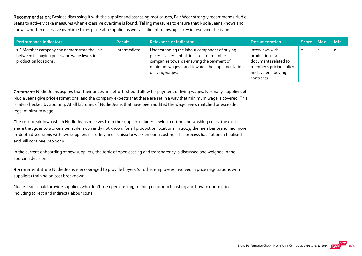Recommendation: Besides discussing it with the supplier and assessing root causes, Fair Wear strongly recommends Nudie Jeans to actively take measures when excessive overtime is found. Taking measures to ensure that Nudie Jeans knows and shows whether excessive overtime takes place at a supplier as well as diligent follow‐up is key in resolving the issue.

| Performance indicators                                                                                               | <b>Result</b> | <b>Relevance of Indicator</b>                                                                                                                                                                                   | <b>Documentation</b>                                                                                                        | Score Max | ⊟ Min |
|----------------------------------------------------------------------------------------------------------------------|---------------|-----------------------------------------------------------------------------------------------------------------------------------------------------------------------------------------------------------------|-----------------------------------------------------------------------------------------------------------------------------|-----------|-------|
| 1.8 Member company can demonstrate the link<br>between its buying prices and wage levels in<br>production locations. | Intermediate  | Understanding the labour component of buying<br>prices is an essential first step for member<br>companies towards ensuring the payment of<br>minimum wages - and towards the implementation<br>of living wages. | Interviews with<br>production staff,<br>documents related to<br>member's pricing policy<br>and system, buying<br>contracts. |           | C     |

Comment: Nudie Jeans aspires that their prices and efforts should allow for payment of living wages. Normally, suppliers of Nudie Jeans give price estimations, and the company expects that these are set in a way that minimum wage is covered. This is later checked by auditing. At all factories of Nudie Jeans that have been audited the wage levels matched or exceeded legal minimum wage.

The cost breakdown which Nudie Jeans receives from the supplier includes sewing, cutting and washing costs, the exact share that goes to workers per style is currently not known for all production locations. In 2019, the member brand had more in-depth discussions with two suppliers in Turkey and Tunisia to work on open costing. This process has not been finalised and will continue into 2020.

In the current onboarding of new suppliers, the topic of open costing and transparency is discussed and weighed in the sourcing decision.

Recommendation: Nudie Jeans is encouraged to provide buyers (or other employees involved in price negotiations with suppliers) training on cost breakdown.

Nudie Jeans could provide suppliers who don't use open costing, training on product costing and how to quote prices including (direct and indirect) labour costs.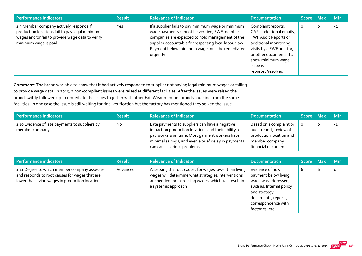| <b>Performance indicators</b>                                                                                                                                          | <b>Result</b> | <b>Relevance of Indicator</b>                                                                                                                                                                                                                                                 | <b>Documentation</b>                                                                                                                                                                                          | <b>Score</b> | - Max   | <b>Min</b> |
|------------------------------------------------------------------------------------------------------------------------------------------------------------------------|---------------|-------------------------------------------------------------------------------------------------------------------------------------------------------------------------------------------------------------------------------------------------------------------------------|---------------------------------------------------------------------------------------------------------------------------------------------------------------------------------------------------------------|--------------|---------|------------|
| 1.9 Member company actively responds if<br>production locations fail to pay legal minimum<br>wages and/or fail to provide wage data to verify<br>minimum wage is paid. | Yes           | If a supplier fails to pay minimum wage or minimum<br>wage payments cannot be verified, FWF member<br>companies are expected to hold management of the<br>supplier accountable for respecting local labour law.<br>Payment below minimum wage must be remediated<br>urgently. | Complaint reports,<br>CAPs, additional emails,<br>FWF Audit Reports or<br>additional monitoring<br>visits by a FWF auditor,<br>or other documents that<br>show minimum wage<br>issue is<br>reported/resolved. |              | $\circ$ | $-2$       |

Comment: The brand was able to show that it had actively responded to supplier not paying legal minimum wages or failing to provide wage data. In 2019, 3 non‐compliant issues were raised at different facilities. After the issues were raised the brand swiftly followed up to remediate the issues together with other Fair Wear member brands sourcing from the same facilities. In one case the issue is still waiting for final verification but the factory has mentioned they solved the issue.

| Performance indicators                                            | <b>Result</b> | Relevance of Indicator                                                                                                                                                                                                                        | <b>Documentation</b>                                                                                                    | Score Max |   | <b>Min</b> |
|-------------------------------------------------------------------|---------------|-----------------------------------------------------------------------------------------------------------------------------------------------------------------------------------------------------------------------------------------------|-------------------------------------------------------------------------------------------------------------------------|-----------|---|------------|
| 1.10 Evidence of late payments to suppliers by<br>member company. | No            | Late payments to suppliers can have a negative<br>impact on production locations and their ability to<br>pay workers on time. Most garment workers have<br>minimal savings, and even a brief delay in payments<br>can cause serious problems. | Based on a complaint or<br>audit report; review of<br>production location and<br>member company<br>financial documents. |           | O | $-1$       |

| <b>Performance indicators</b>                                                                                                                      | <b>Result</b> | <b>Relevance of Indicator</b>                                                                                                                                                               | <b>Documentation</b>                                                                                                                                                       | Score Max |   | <b>Min</b> |
|----------------------------------------------------------------------------------------------------------------------------------------------------|---------------|---------------------------------------------------------------------------------------------------------------------------------------------------------------------------------------------|----------------------------------------------------------------------------------------------------------------------------------------------------------------------------|-----------|---|------------|
| 1.11 Degree to which member company assesses<br>and responds to root causes for wages that are<br>lower than living wages in production locations. | Advanced      | Assessing the root causes for wages lower than living<br>wages will determine what strategies/interventions<br>are needed for increasing wages, which will result in<br>a systemic approach | Evidence of how<br>payment below living<br>wage was addressed,<br>such as: Internal policy<br>and strategy<br>documents, reports,<br>correspondence with<br>factories, etc | b         | b | $\Omega$   |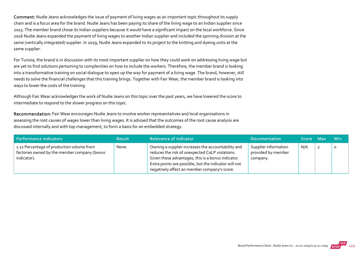Comment: Nudie Jeans acknowledges the issue of payment of living wages as an important topic throughout its supply chain and is a focus area for the brand. Nudie Jeans has been paying its share of the living wage to an Indian supplier since 2013. The member brand chose its Indian suppliers because it would have a significant impact on the local workforce. Since 2016 Nudie Jeans expanded the payment of living wages to another Indian supplier and included the spinning division at the same (vertically integrated) supplier. In 2019, Nudie Jeans expanded to its project to the knitting and dyeing units at the same supplier.

For Tunisia, the brand is in discussion with its most important supplier on how they could work on addressing living wage but are yet to find solutions pertaining to complexities on how to include the workers. Therefore, the member brand is looking into a transformative training on social dialogue to open up the way for payment of a living wage. The brand, however, still needs to solve the financial challenges that this training brings. Together with Fair Wear, the member brand is looking into ways to lower the costs of the training.

Although Fair Wear acknowledges the work of Nudie Jeans on this topic over the past years, we have lowered the score to intermediate to respond to the slower progress on this topic.

Recommendation: Fair Wear encourages Nudie Jeans to involve worker representatives and local organisations in assessing the root causes of wages lower than living wages. It is advised that the outcomes of the root cause analysis are discussed internally and with top management, to form a basis for an embedded strategy.

| <b>Performance indicators</b>                                                                            | <b>Result</b> | <b>Relevance of Indicator</b>                                                                                                                                                                                                                                        | <b>Documentation</b>                                   | Score Max |                | <b>Min</b> |
|----------------------------------------------------------------------------------------------------------|---------------|----------------------------------------------------------------------------------------------------------------------------------------------------------------------------------------------------------------------------------------------------------------------|--------------------------------------------------------|-----------|----------------|------------|
| 1.12 Percentage of production volume from<br>factories owned by the member company (bonus<br>indicator). | None          | Owning a supplier increases the accountability and<br>reduces the risk of unexpected CoLP violations.<br>Given these advantages, this is a bonus indicator.<br>Extra points are possible, but the indicator will not<br>negatively affect an member company's score. | Supplier information<br>provided by member<br>company. | N/A       | $\overline{2}$ | $\circ$    |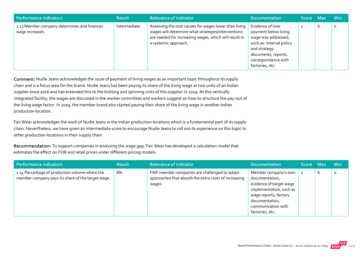| <b>Performance indicators</b>                                  | <b>Result</b> | <b>Relevance of Indicator</b>                                                                                                                                                                | <b>Documentation</b>                                                                                                                                                        | <b>Score</b> | <b>Max</b> | <b>Min</b> |
|----------------------------------------------------------------|---------------|----------------------------------------------------------------------------------------------------------------------------------------------------------------------------------------------|-----------------------------------------------------------------------------------------------------------------------------------------------------------------------------|--------------|------------|------------|
| 1.13 Member company determines and finances<br>wage increases. | Intermediate  | Assessing the root causes for wages lower than living<br>wages will determine what strategies/interventions<br>are needed for increasing wages, which will result in<br>a systemic approach. | Evidence of how<br>payment below living<br>wage was addressed,<br>such as: internal policy<br>and strategy<br>documents, reports,<br>correspondence with<br>factories, etc. |              | b          | $\circ$    |

Comment: Nudie Jeans acknowledges the issue of payment of living wages as an important topic throughout its supply chain and is a focus area for the brand. Nudie Jeans has been paying its share of the living wage at two units of an Indian supplier since 2016 and has extended this to the knitting and spinning units of this supplier in 2019. At this vertically integrated facility, the wages are discussed in the worker committee and workers suggest on how to structure the pay‐out of the living wage factor. In 2019, the member brand also started paying their share of the living wage in another Indian production location.

Fair Wear acknowledges the work of Nudie Jeans in the Indian production locations which is a fundamental part of its supply chain. Nevertheless, we have given an intermediate score to encourage Nudie Jeans to roll out its experience on this topic to other production locations in their supply chain.

Recommendation: To support companies in analysing the wage gap, Fair Wear has developed a calculation model that estimates the effect on FOB and retail prices under different pricing models.

| Performance indicators                                                                              | <b>Result</b> | <b>Relevance of Indicator</b>                                                                                  | Documentation                                                                                                                                                                    | Score Max |   | <b>Min</b> |
|-----------------------------------------------------------------------------------------------------|---------------|----------------------------------------------------------------------------------------------------------------|----------------------------------------------------------------------------------------------------------------------------------------------------------------------------------|-----------|---|------------|
| 1.14 Percentage of production volume where the<br>member company pays its share of the target wage. | 8%            | FWF member companies are challenged to adopt<br>approaches that absorb the extra costs of increasing<br>wages. | Member company's own<br>documentation,<br>evidence of target wage<br>implementation, such as<br>wage reports, factory<br>documentation,<br>communication with<br>factories, etc. |           | b | $\circ$    |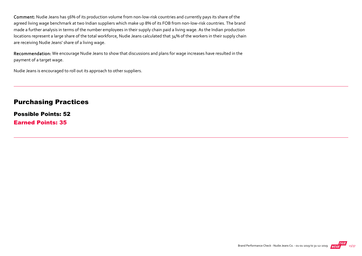Comment: Nudie Jeans has 56% of its production volume from non‐low‐risk countries and currently pays its share of the agreed living wage benchmark at two Indian suppliers which make up 8% of its FOB from non-low-risk countries. The brand made a further analysis in terms of the number employees in their supply chain paid a living wage. As the Indian production locations represent a large share of the total workforce, Nudie Jeans calculated that 34% of the workers in their supply chain are receiving Nudie Jeans' share of a living wage.

Recommendation: We encourage Nudie Jeans to show that discussions and plans for wage increases have resulted in the payment of a target wage.

Nudie Jeans is encouraged to roll out its approach to other suppliers.

#### Purchasing Practices

Possible Points: 52 Earned Points: 35

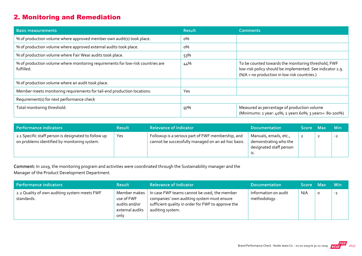## 2. Monitoring and Remediation

| <b>Basic measurements</b>                                                                     | <b>Result</b> | <b>Comments</b>                                                                                                                                                  |
|-----------------------------------------------------------------------------------------------|---------------|------------------------------------------------------------------------------------------------------------------------------------------------------------------|
| % of production volume where approved member own audit(s) took place.                         | $0\%$         |                                                                                                                                                                  |
| % of production volume where approved external audits took place.                             | $0\%$         |                                                                                                                                                                  |
| % of production volume where Fair Wear audits took place.                                     | 53%           |                                                                                                                                                                  |
| % of production volume where monitoring requirements for low-risk countries are<br>fulfilled. | 44%           | To be counted towards the monitoring threshold, FWF<br>low-risk policy should be implemented. See indicator 2.9.<br>(N/A = no production in low risk countries.) |
| % of production volume where an audit took place.                                             |               |                                                                                                                                                                  |
| Member meets monitoring requirements for tail-end production locations.                       | Yes           |                                                                                                                                                                  |
| Requirement(s) for next performance check                                                     |               |                                                                                                                                                                  |
| Total monitoring threshold:                                                                   | 97%           | Measured as percentage of production volume<br>(Minimums: 1 year: 40%; 2 years 60%; 3 years+: 80-100%)                                                           |

| Performance indicators                                                                               | <b>Result</b> | <b>Relevance of Indicator</b>                                                                           | <b>Documentation</b>                                                              | Score Max | <b>Min</b> |
|------------------------------------------------------------------------------------------------------|---------------|---------------------------------------------------------------------------------------------------------|-----------------------------------------------------------------------------------|-----------|------------|
| 2.1 Specific staff person is designated to follow up<br>on problems identified by monitoring system. | Yes           | Followup is a serious part of FWF membership, and<br>cannot be successfully managed on an ad-hoc basis. | Manuals, emails, etc.,<br>demonstrating who the<br>designated staff person<br>.כו |           | $-2$       |

Comment: In 2019, the monitoring program and activities were coordinated through the Sustainability manager and the Manager of the Product Development Department.

| Performance indicators                                     | <b>Result</b>                                                          | <b>Relevance of Indicator</b>                                                                                                                                        | <b>Documentation</b>                 | <b>Score</b> | <b>Max</b> | <b>Min</b> |
|------------------------------------------------------------|------------------------------------------------------------------------|----------------------------------------------------------------------------------------------------------------------------------------------------------------------|--------------------------------------|--------------|------------|------------|
| 2.2 Quality of own auditing system meets FWF<br>standards. | Member makes<br>use of FWF<br>audits and/or<br>external audits<br>only | In case FWF teams cannot be used, the member<br>companies' own auditing system must ensure<br>sufficient quality in order for FWF to approve the<br>auditing system. | Information on audit<br>methodology. | N/A          |            | $-1$       |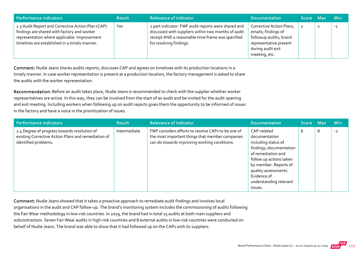| Performance indicators                                                                                                                                                                            | <b>Result</b> | <b>Relevance of Indicator</b>                                                                                                                                                              | <b>Documentation</b>                                                                                                                      | Score Max | <b>Min</b> |
|---------------------------------------------------------------------------------------------------------------------------------------------------------------------------------------------------|---------------|--------------------------------------------------------------------------------------------------------------------------------------------------------------------------------------------|-------------------------------------------------------------------------------------------------------------------------------------------|-----------|------------|
| 2.3 Audit Report and Corrective Action Plan (CAP)<br>findings are shared with factory and worker<br>representation where applicable. Improvement<br>timelines are established in a timely manner. | Yes           | 2 part indicator: FWF audit reports were shared and<br>discussed with suppliers within two months of audit<br>receipt AND a reasonable time frame was specified<br>for resolving findings. | Corrective Action Plans,<br>emails; findings of<br>followup audits; brand<br>representative present<br>during audit exit<br>meeting, etc. |           | $-1$       |

Comment: Nudie Jeans shares audits reports, discusses CAP and agrees on timelines with its production locations in a timely manner. In case worker representation is present at a production location, the factory management is asked to share the audits with the worker representation.

Recommendation: Before an audit takes place, Nudie Jeans is recommended to check with the supplier whether worker representatives are active. In this way, they can be involved from the start of an audit and be invited for the audit opening and exit meeting. Including workers when following up on audit reports gives them the opportunity to be informed of issues in the factory and have a voice in the prioritization of issues.

| Performance indicators                                                                                                      | <b>Result</b> | <b>Relevance of Indicator</b>                                                                                                                         | <b>Documentation</b>                                                                                                                                                                                                                 | Score Max |   | <b>Min</b> |
|-----------------------------------------------------------------------------------------------------------------------------|---------------|-------------------------------------------------------------------------------------------------------------------------------------------------------|--------------------------------------------------------------------------------------------------------------------------------------------------------------------------------------------------------------------------------------|-----------|---|------------|
| 2.4 Degree of progress towards resolution of<br>existing Corrective Action Plans and remediation of<br>identified problems. | Intermediate  | FWF considers efforts to resolve CAPs to be one of<br>the most important things that member companies<br>can do towards improving working conditions. | CAP-related<br>documentation<br>including status of<br>findings, documentation<br>of remediation and<br>follow up actions taken<br>by member. Reports of<br>quality assessments.<br>Evidence of<br>understanding relevant<br>issues. | b         | 8 | $-2$       |

Comment: Nudie Jeans showed that it takes a proactive approach to remediate audit findings and involves local organisations in the audit and CAP follow‐up. The brand's monitoring system includes the commissioning of audits following the Fair Wear methodology in low-risk countries. In 2019, the brand had in total 15 audits at both main suppliers and subcontractors. Seven Fair Wear audits in high‐risk countries and 8 external audits in low‐risk countries were conducted on behalf of Nudie Jeans. The brand was able to show that it had followed up on the CAPs with its suppliers.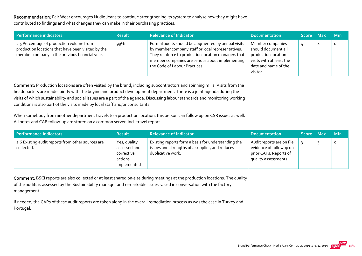Recommendation: Fair Wear encourages Nudie Jeans to continue strengthening its system to analyse how they might have contributed to findings and what changes they can make in their purchasing practices.

| Performance indicators                                                                                                                           | <b>Result</b> | <b>Relevance of Indicator</b>                                                                                                                                                                                                                      | <b>Documentation</b>                                                                                                           | Score Max | <b>Min</b> |
|--------------------------------------------------------------------------------------------------------------------------------------------------|---------------|----------------------------------------------------------------------------------------------------------------------------------------------------------------------------------------------------------------------------------------------------|--------------------------------------------------------------------------------------------------------------------------------|-----------|------------|
| 2.5 Percentage of production volume from<br>production locations that have been visited by the<br>member company in the previous financial year. | 99%           | Formal audits should be augmented by annual visits<br>by member company staff or local representatives.<br>They reinforce to production location managers that<br>member companies are serious about implementing<br>the Code of Labour Practices. | Member companies<br>should document all<br>production location<br>visits with at least the<br>date and name of the<br>visitor. |           | 0          |

Comment: Production locations are often visited by the brand, including subcontractors and spinning mills. Visits from the headquarters are made jointly with the buying and product development department. There is a joint agenda during the visits of which sustainability and social issues are a part of the agenda. Discussing labour standards and monitoring working conditions is also part of the visits made by local staff and/or consultants.

When somebody from another department travels to a production location, this person can follow up on CSR issues as well. All notes and CAP follow‐up are stored on a common server, incl. travel report.

| Performance indicators                                          | <b>Result</b>                                                        | <b>Relevance of Indicator</b>                                                                                               | <b>Documentation</b>                                                                                         | <b>Score</b> | - Max | <b>Min</b> |
|-----------------------------------------------------------------|----------------------------------------------------------------------|-----------------------------------------------------------------------------------------------------------------------------|--------------------------------------------------------------------------------------------------------------|--------------|-------|------------|
| 2.6 Existing audit reports from other sources are<br>collected. | Yes, quality<br>assessed and<br>corrective<br>actions<br>implemented | Existing reports form a basis for understanding the<br>issues and strengths of a supplier, and reduces<br>duplicative work. | Audit reports are on file;<br>evidence of followup on<br>$_1$ prior CAPs. Reports of<br>quality assessments. |              |       | 0          |

Comment: BSCI reports are also collected or at least shared on-site during meetings at the production locations. The quality of the audits is assessed by the Sustainability manager and remarkable issues raised in conversation with the factory management.

If needed, the CAPs of these audit reports are taken along in the overall remediation process as was the case in Turkey and Portugal.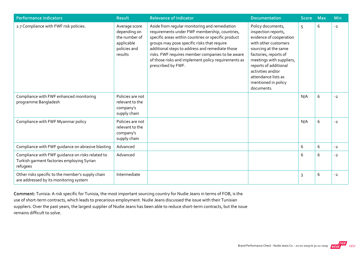| <b>Performance indicators</b>                                                                              | <b>Result</b>                                                                           | <b>Relevance of Indicator</b>                                                                                                                                                                                                                                                                                                                                                            | <b>Documentation</b>                                                                                                                                                                                                                                                               | <b>Score</b> | <b>Max</b> | <b>Min</b> |
|------------------------------------------------------------------------------------------------------------|-----------------------------------------------------------------------------------------|------------------------------------------------------------------------------------------------------------------------------------------------------------------------------------------------------------------------------------------------------------------------------------------------------------------------------------------------------------------------------------------|------------------------------------------------------------------------------------------------------------------------------------------------------------------------------------------------------------------------------------------------------------------------------------|--------------|------------|------------|
| 2.7 Compliance with FWF risk policies.                                                                     | Average score<br>depending on<br>the number of<br>applicable<br>policies and<br>results | Aside from regular monitoring and remediation<br>requirements under FWF membership, countries,<br>specific areas within countries or specific product<br>groups may pose specific risks that require<br>additional steps to address and remediate those<br>risks. FWF requires member companies to be aware<br>of those risks and implement policy requirements as<br>prescribed by FWF. | Policy documents,<br>inspection reports,<br>evidence of cooperation<br>with other customers<br>sourcing at the same<br>factories, reports of<br>meetings with suppliers,<br>reports of additional<br>activities and/or<br>attendance lists as<br>mentioned in policy<br>documents. | 5            | 6          | $-2$       |
| Compliance with FWF enhanced monitoring<br>programme Bangladesh                                            | Policies are not<br>relevant to the<br>company's<br>supply chain                        |                                                                                                                                                                                                                                                                                                                                                                                          |                                                                                                                                                                                                                                                                                    | N/A          | 6          | $-2$       |
| Compliance with FWF Myanmar policy                                                                         | Policies are not<br>relevant to the<br>company's<br>supply chain                        |                                                                                                                                                                                                                                                                                                                                                                                          |                                                                                                                                                                                                                                                                                    | N/A          | 6          | $-2$       |
| Compliance with FWF guidance on abrasive blasting                                                          | Advanced                                                                                |                                                                                                                                                                                                                                                                                                                                                                                          |                                                                                                                                                                                                                                                                                    | 6            | 6          | $-2$       |
| Compliance with FWF guidance on risks related to<br>Turkish garment factories employing Syrian<br>refugees | Advanced                                                                                |                                                                                                                                                                                                                                                                                                                                                                                          |                                                                                                                                                                                                                                                                                    | 6            | 6          | $-2$       |
| Other risks specific to the member's supply chain<br>are addressed by its monitoring system                | Intermediate                                                                            |                                                                                                                                                                                                                                                                                                                                                                                          |                                                                                                                                                                                                                                                                                    | 3            | 6          | $-2$       |

Comment: Tunisia: A risk specific for Tunisia, the most important sourcing country for Nudie Jeans in terms of FOB, is the use of short-term contracts, which leads to precarious employment. Nudie Jeans discussed the issue with their Tunisian suppliers. Over the past years, the largest supplier of Nudie Jeans has been able to reduce short-term contracts, but the issue remains difficult to solve.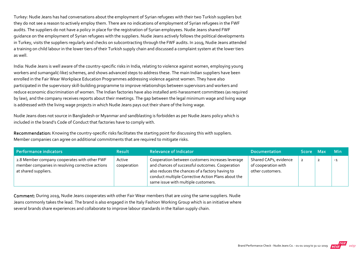Turkey: Nudie Jeans has had conversations about the employment of Syrian refugees with their two Turkish suppliers but they do not see a reason to actively employ them. There are no indications of employment of Syrian refugees in the FWF audits. The suppliers do not have a policy in place for the registration of Syrian employees. Nudie Jeans shared FWF guidance on the employment of Syrian refugees with the suppliers. Nudie Jeans actively follows the political developments in Turkey, visits the suppliers regularly and checks on subcontracting through the FWF audits. In 2019, Nudie Jeans attended a training on child labour in the lower tiers of their Turkish supply chain and discussed a complaint system at the lower tiers as well.

India: Nudie Jeans is well aware of the country‐specific risks in India, relating to violence against women, employing young workers and sumangali(‐like) schemes, and shows advanced steps to address these. The main Indian suppliers have been enrolled in the Fair Wear Workplace Education Programmes addressing violence against women. They have also participated in the supervisory skill‐building programme to improve relationships between supervisors and workers and reduce economic discrimination of women. The Indian factories have also installed anti‐harassment committees (as required by law), and the company receives reports about their meetings. The gap between the legal minimum wage and living wage is addressed with the living wage projects in which Nudie Jeans pays out their share of the living wage.

Nudie Jeans does not source in Bangladesh or Myanmar and sandblasting is forbidden as per Nudie Jeans policy which is included in the brand's Code of Conduct that factories have to comply with.

Recommendation: Knowing the country-specific risks facilitates the starting point for discussing this with suppliers. Member companies can agree on additional commitments that are required to mitigate risks.

| Performance indicators                                                                                                   | <b>Result</b>         | <b>Relevance of Indicator</b>                                                                                                                                                                                                                       | <b>Documentation</b>                                             | Score Max      | <b>Min</b> |
|--------------------------------------------------------------------------------------------------------------------------|-----------------------|-----------------------------------------------------------------------------------------------------------------------------------------------------------------------------------------------------------------------------------------------------|------------------------------------------------------------------|----------------|------------|
| 2.8 Member company cooperates with other FWF<br>member companies in resolving corrective actions<br>at shared suppliers. | Active<br>cooperation | Cooperation between customers increases leverage<br>and chances of successful outcomes. Cooperation<br>also reduces the chances of a factory having to<br>conduct multiple Corrective Action Plans about the<br>same issue with multiple customers. | Shared CAPs, evidence<br>of cooperation with<br>other customers. | $\overline{2}$ | $-1$       |

Comment: During 2019, Nudie Jeans cooperates with other Fair Wear members that are using the same suppliers. Nudie Jeans commonly takes the lead. The brand is also engaged in the Italy Fashion Working Group which is an initiative where several brands share experiences and collaborate to improve labour standards in the Italian supply chain.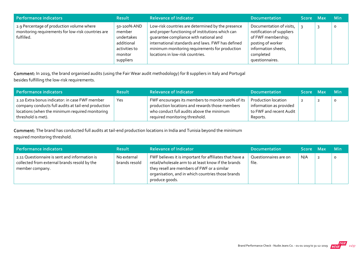| Performance indicators                                                                                        | <b>Result</b>                                                                              | <b>Relevance of Indicator</b>                                                                                                                                                                                                                                                              | <b>Documentation</b>                                                                                                                                    | Score Max | <b>Min</b> |
|---------------------------------------------------------------------------------------------------------------|--------------------------------------------------------------------------------------------|--------------------------------------------------------------------------------------------------------------------------------------------------------------------------------------------------------------------------------------------------------------------------------------------|---------------------------------------------------------------------------------------------------------------------------------------------------------|-----------|------------|
| 2.9 Percentage of production volume where<br>monitoring requirements for low-risk countries are<br>fulfilled. | 50-100% AND<br>member<br>undertakes<br>additional<br>activities to<br>monitor<br>suppliers | Low-risk countries are determined by the presence<br>and proper functioning of institutions which can<br>quarantee compliance with national and<br>international standards and laws. FWF has defined<br>minimum monitoring requirements for production<br>locations in low-risk countries. | Documentation of visits,<br>notification of suppliers<br>of FWF membership;<br>posting of worker<br>information sheets,<br>completed<br>questionnaires. |           | $\Omega$   |

Comment: In 2019, the brand organised audits (using the Fair Wear audit methodology) for 8 suppliers in Italy and Portugal besides fulfilling the low‐risk requirements.

| Performance indicators                                                                                                                                                         | <b>Result</b> | <b>Relevance of Indicator</b>                                                                                                                                                      | <b>Documentation</b>                                                                         | Score Max | <b>Min</b> |
|--------------------------------------------------------------------------------------------------------------------------------------------------------------------------------|---------------|------------------------------------------------------------------------------------------------------------------------------------------------------------------------------------|----------------------------------------------------------------------------------------------|-----------|------------|
| 2.10 Extra bonus indicator: in case FWF member<br>company conducts full audits at tail-end production<br>locations (when the minimum required monitoring<br>threshold is met). | Yes           | FWF encourages its members to monitor 100% of its<br>production locations and rewards those members<br>who conduct full audits above the minimum<br>required monitoring threshold. | <b>Production location</b><br>information as provided<br>to FWF and recent Audit<br>Reports. |           | $\circ$    |

Comment: The brand has conducted full audits at tail-end production locations in India and Tunisia beyond the minimum required monitoring threshold.

| Performance indicators                                                                                           | <b>Result</b>                | <b>Relevance of Indicator</b>                                                                                                                                                                                                        | <b>Documentation</b>           | Score Max | <b>Min</b> |
|------------------------------------------------------------------------------------------------------------------|------------------------------|--------------------------------------------------------------------------------------------------------------------------------------------------------------------------------------------------------------------------------------|--------------------------------|-----------|------------|
| 2.11 Questionnaire is sent and information is<br>collected from external brands resold by the<br>member company. | No external<br>brands resold | FWF believes it is important for affiliates that have a<br>retail/wholesale arm to at least know if the brands<br>they resell are members of FWF or a similar<br>organisation, and in which countries those brands<br>produce goods. | Questionnaires are on<br>file. | N/A       | $\circ$    |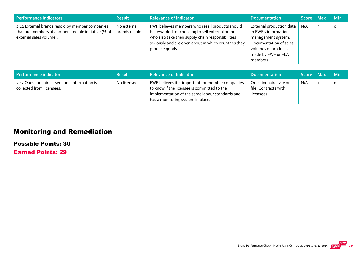| Performance indicators                                                                                                              | <b>Result</b>                | <b>Relevance of Indicator</b>                                                                                                                                                                                                      | <b>Documentation</b>                                                                                                                                      | Score Max | <b>Min</b> |
|-------------------------------------------------------------------------------------------------------------------------------------|------------------------------|------------------------------------------------------------------------------------------------------------------------------------------------------------------------------------------------------------------------------------|-----------------------------------------------------------------------------------------------------------------------------------------------------------|-----------|------------|
| 2.12 External brands resold by member companies<br>that are members of another credible initiative (% of<br>external sales volume). | No external<br>brands resold | FWF believes members who resell products should<br>be rewarded for choosing to sell external brands<br>who also take their supply chain responsibilities<br>seriously and are open about in which countries they<br>produce goods. | External production data<br>in FWF's information<br>management system.<br>Documentation of sales<br>volumes of products<br>made by FWF or FLA<br>members. | N/A       | $\circ$    |

| Performance indicators                                                     | <b>Result</b> | <b>Relevance of Indicator</b>                                                                                                                                                            | <b>Documentation</b>                                        | Score Max | <b>Min</b> |
|----------------------------------------------------------------------------|---------------|------------------------------------------------------------------------------------------------------------------------------------------------------------------------------------------|-------------------------------------------------------------|-----------|------------|
| 2.13 Questionnaire is sent and information is<br>collected from licensees. | No licensees  | FWF believes it is important for member companies<br>to know if the licensee is committed to the<br>implementation of the same labour standards and<br>has a monitoring system in place. | Questionnaires are on<br>file. Contracts with<br>licensees. | N/A       |            |

## Monitoring and Remediation

Possible Points: 30

Earned Points: 29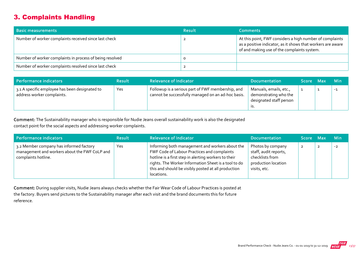## 3. Complaints Handling

| <b>Basic measurements</b>                                | <b>Result</b> | <b>Comments</b>                                                                                                                                                        |
|----------------------------------------------------------|---------------|------------------------------------------------------------------------------------------------------------------------------------------------------------------------|
| Number of worker complaints received since last check    |               | At this point, FWF considers a high number of complaints<br>as a positive indicator, as it shows that workers are aware<br>of and making use of the complaints system. |
| Number of worker complaints in process of being resolved |               |                                                                                                                                                                        |
| Number of worker complaints resolved since last check    |               |                                                                                                                                                                        |

| Performance indicators                                                       | <b>Result</b> | <b>Relevance of Indicator</b>                                                                           | <b>Documentation</b>                                                       | Score Max | <b>Min</b> |
|------------------------------------------------------------------------------|---------------|---------------------------------------------------------------------------------------------------------|----------------------------------------------------------------------------|-----------|------------|
| 3.1 A specific employee has been designated to<br>address worker complaints. | Yes           | Followup is a serious part of FWF membership, and<br>cannot be successfully managed on an ad-hoc basis. | Manuals, emails, etc.,<br>demonstrating who the<br>designated staff person |           | $-1$       |

Comment: The Sustainability manager who is responsible for Nudie Jeans overall sustainability work is also the designated contact point for the social aspects and addressing worker complaints.

| Performance indicators                                                                                          | <b>Result</b> | <b>Relevance of Indicator</b>                                                                                                                                                                                                                                                       | <b>Documentation</b>                                                                                 | Score Max |                | <b>Min</b> |
|-----------------------------------------------------------------------------------------------------------------|---------------|-------------------------------------------------------------------------------------------------------------------------------------------------------------------------------------------------------------------------------------------------------------------------------------|------------------------------------------------------------------------------------------------------|-----------|----------------|------------|
| 3.2 Member company has informed factory<br>management and workers about the FWF CoLP and<br>complaints hotline. | Yes           | Informing both management and workers about the<br>FWF Code of Labour Practices and complaints<br>hotline is a first step in alerting workers to their<br>rights. The Worker Information Sheet is a tool to do<br>this and should be visibly posted at all production<br>locations. | Photos by company<br>staff, audit reports,<br>checklists from<br>production location<br>visits, etc. |           | $\overline{2}$ | $-2$       |

Comment: During supplier visits, Nudie Jeans always checks whether the Fair Wear Code of Labour Practices is posted at the factory. Buyers send pictures to the Sustainability manager after each visit and the brand documents this for future reference.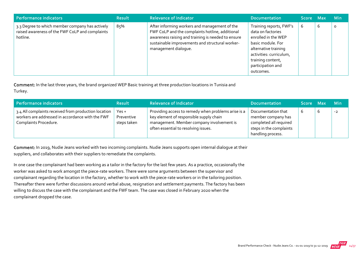| Performance indicators                                                                                         | <b>Result</b> | <b>Relevance of Indicator</b>                                                                                                                                                                                                     | <b>Documentation</b>                                                                                                                                                                               | Score Max |   | <b>Min</b> |
|----------------------------------------------------------------------------------------------------------------|---------------|-----------------------------------------------------------------------------------------------------------------------------------------------------------------------------------------------------------------------------------|----------------------------------------------------------------------------------------------------------------------------------------------------------------------------------------------------|-----------|---|------------|
| 3.3 Degree to which member company has actively<br>raised awareness of the FWF CoLP and complaints<br>hotline. | 85%           | After informing workers and management of the<br>FWF CoLP and the complaints hotline, additional<br>awareness raising and training is needed to ensure<br>sustainable improvements and structural worker-<br>management dialogue. | Training reports, FWF's<br>data on factories<br>enrolled in the WEP<br>basic module. For<br>alternative training<br>activities: curriculum,<br>training content,<br>participation and<br>outcomes. | 6         | 6 | $\circ$    |

Comment: In the last three years, the brand organized WEP Basic training at three production locations in Tunisia and Turkey.

| Performance indicators                                                                                                            | <b>Result</b>                        | <b>Relevance of Indicator</b>                                                                                                                                                       | <b>Documentation</b>                                                                                               | Score Max | <b>Min</b> |
|-----------------------------------------------------------------------------------------------------------------------------------|--------------------------------------|-------------------------------------------------------------------------------------------------------------------------------------------------------------------------------------|--------------------------------------------------------------------------------------------------------------------|-----------|------------|
| 3.4 All complaints received from production location<br>workers are addressed in accordance with the FWF<br>Complaints Procedure. | $Yes +$<br>Preventive<br>steps taken | Providing access to remedy when problems arise is a<br>key element of responsible supply chain<br>management. Member company involvement is<br>often essential to resolving issues. | Documentation that<br>member company has<br>completed all required<br>steps in the complaints<br>handling process. |           | $-2$       |

Comment: In 2019, Nudie Jeans worked with two incoming complaints. Nudie Jeans supports open internal dialogue at their suppliers, and collaborates with their suppliers to remediate the complaints.

In one case the complainant had been working as a tailor in the factory for the last few years. As a practice, occasionally the worker was asked to work amongst the piece‐rate workers. There were some arguments between the supervisor and complainant regarding the location in the factory, whether to work with the piece-rate workers or in the tailoring position. Thereafter there were further discussions around verbal abuse, resignation and settlement payments. The factory has been willing to discuss the case with the complainant and the FWF team. The case was closed in February 2020 when the complainant dropped the case.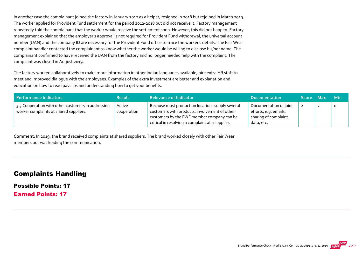In another case the complainant joined the factory in January 2012 as a helper, resigned in 2018 but rejoined in March 2019. The worker applied for Provident Fund settlement for the period 2012‐2018 but did not receive it. Factory management repeatedly told the complainant that the worker would receive the settlement soon. However, this did not happen. Factory management explained that the employer's approval is not required for Provident Fund withdrawal, the universal account number (UAN) and the company ID are necessary for the Provident Fund office to trace the worker's details. The Fair Wear complaint handler contacted the complainant to know whether the worker would be willing to disclose his/her name. The complainant confirmed to have received the UAN from the factory and no longer needed help with the complaint. The complaint was closed in August 2019.

The factory worked collaboratively to make more information in other Indian languages available, hire extra HR staff to meet and improved dialogue with the employees. Examples of the extra investment are better and explanation and education on how to read payslips and understanding how to get your benefits.

| Performance indicators                                                                       | <b>Result</b>         | <b>Relevance of Indicator</b>                                                                                                                                                                       | <b>Documentation</b>                                                                  | Score Max | <b>Min</b> |
|----------------------------------------------------------------------------------------------|-----------------------|-----------------------------------------------------------------------------------------------------------------------------------------------------------------------------------------------------|---------------------------------------------------------------------------------------|-----------|------------|
| 3.5 Cooperation with other customers in addressing<br>worker complaints at shared suppliers. | Active<br>cooperation | Because most production locations supply several<br>customers with products, involvement of other<br>customers by the FWF member company can be<br>critical in resolving a complaint at a supplier. | Documentation of joint<br>efforts, e.g. emails,<br>sharing of complaint<br>data, etc. |           | $\circ$    |

Comment: In 2019, the brand received complaints at shared suppliers. The brand worked closely with other Fair Wear members but was leading the communication.

#### Complaints Handling

Possible Points: 17

Earned Points: 17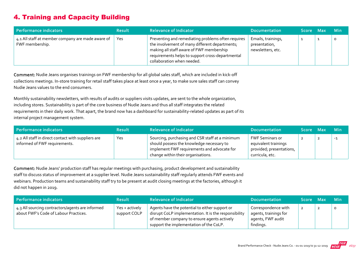## 4. Training and Capacity Building

| Performance indicators                                               | <b>Result</b> | <b>Relevance of Indicator</b>                                                                                                                                                                                                      | <b>Documentation</b>                                     | Score Max | <b>Min</b> |
|----------------------------------------------------------------------|---------------|------------------------------------------------------------------------------------------------------------------------------------------------------------------------------------------------------------------------------------|----------------------------------------------------------|-----------|------------|
| 4.1 All staff at member company are made aware of<br>FWF membership. | Yes           | Preventing and remediating problems often requires<br>the involvement of many different departments;<br>making all staff aware of FWF membership<br>requirements helps to support cross-departmental<br>collaboration when needed. | Emails, trainings,<br>presentation,<br>newsletters, etc. |           | $\circ$    |

Comment: Nudie Jeans organises trainings on FWF membership for all global sales staff, which are included in kick‐off collections meetings. In‐store training for retail staff takes place at least once a year, to make sure sales staff can convey Nudie Jeans values to the end consumers.

Monthly sustainability newsletters, with results of audits or suppliers visits updates, are sent to the whole organization, including stores. Sustainability is part of the core business of Nudie Jeans and thus all staff integrates the related requirements in their daily work. That apart, the brand now has a dashboard for sustainability‐related updates as part of its internal project management system.

| Performance indicators                                                              | <b>Result</b> | <b>Relevance of Indicator</b>                                                                                                               | <b>Documentation</b>                                                       | Score Max | <b>Min</b> |
|-------------------------------------------------------------------------------------|---------------|---------------------------------------------------------------------------------------------------------------------------------------------|----------------------------------------------------------------------------|-----------|------------|
| 4.2 All staff in direct contact with suppliers are<br>informed of FWF requirements. | Yes           | Sourcing, purchasing and CSR staff at a minimum<br>should possess the knowledge necessary to<br>implement FWF requirements and advocate for | <b>FWF Seminars or</b><br>equivalent trainings<br>provided; presentations, |           | $-1$       |
|                                                                                     |               | change within their organisations.                                                                                                          | curricula, etc.                                                            |           |            |

Comment: Nudie Jeans' production staff has regular meetings with purchasing, product development and sustainability staff to discuss status of improvement at a supplier level. Nudie Jeans sustainability staff regularly attends FWF events and webinars. Production teams and sustainability staff try to be present at audit closing meetings at the factories, although it did not happen in 2019.

| Performance indicators                                                                    | <b>Result</b>                  | <b>Relevance of Indicator</b>                                                                                                                                                                     | <b>Documentation</b>                                                           | Score Max      | <b>Min</b> |
|-------------------------------------------------------------------------------------------|--------------------------------|---------------------------------------------------------------------------------------------------------------------------------------------------------------------------------------------------|--------------------------------------------------------------------------------|----------------|------------|
| 4.3 All sourcing contractors/agents are informed<br>about FWF's Code of Labour Practices. | Yes + actively<br>support COLP | Agents have the potential to either support or<br>disrupt CoLP implementation. It is the responsibility<br>of member company to ensure agents actively<br>support the implementation of the CoLP. | Correspondence with<br>agents, trainings for<br>agents, FWF audit<br>findings. | $\overline{2}$ |            |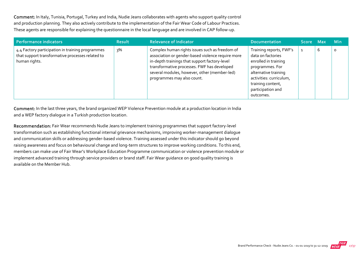Comment: In Italy, Tunisia, Portugal, Turkey and India, Nudie Jeans collaborates with agents who support quality control and production planning. They also actively contribute to the implementation of the Fair Wear Code of Labour Practices. These agents are responsible for explaining the questionnaire in the local language and are involved in CAP follow‐up.

| Performance indicators                                                                                                | <b>Result</b> | <b>Relevance of Indicator</b>                                                                                                                                                                                                                                                     | <b>Documentation</b>                                                                                                                                                                              | ا Score Max |   | <b>Min</b> |
|-----------------------------------------------------------------------------------------------------------------------|---------------|-----------------------------------------------------------------------------------------------------------------------------------------------------------------------------------------------------------------------------------------------------------------------------------|---------------------------------------------------------------------------------------------------------------------------------------------------------------------------------------------------|-------------|---|------------|
| 4.4 Factory participation in training programmes<br>that support transformative processes related to<br>human rights. | 3%            | Complex human rights issues such as freedom of<br>association or gender-based violence require more<br>in-depth trainings that support factory-level<br>transformative processes. FWF has developed<br>several modules, however, other (member-led)<br>programmes may also count. | Training reports, FWF's<br>data on factories<br>enrolled in training<br>programmes. For<br>alternative training<br>activities: curriculum,<br>training content,<br>participation and<br>outcomes. |             | b | $\circ$    |

Comment: In the last three years, the brand organized WEP Violence Prevention module at a production location in India and a WEP factory dialogue in a Turkish production location.

Recommendation: Fair Wear recommends Nudie Jeans to implement training programmes that support factory-level transformation such as establishing functional internal grievance mechanisms, improving worker‐management dialogue and communication skills or addressing gender‐based violence. Training assessed under this indicator should go beyond raising awareness and focus on behavioural change and long-term structures to improve working conditions. To this end, members can make use of Fair Wear's Workplace Education Programme communication or violence prevention module or implement advanced training through service providers or brand staff. Fair Wear guidance on good quality training is available on the Member Hub.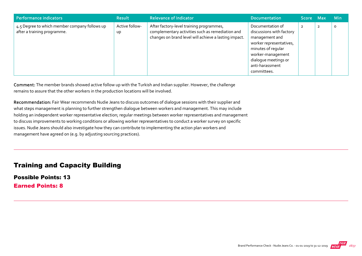| <b>Performance indicators</b>                                                | <b>Result</b>        | <b>Relevance of Indicator</b>                                                                                                                         | <b>Documentation</b>                                                                                                                                                                           | Score Max      |                | <b>Min</b> |
|------------------------------------------------------------------------------|----------------------|-------------------------------------------------------------------------------------------------------------------------------------------------------|------------------------------------------------------------------------------------------------------------------------------------------------------------------------------------------------|----------------|----------------|------------|
| 4.5 Degree to which member company follows up<br>after a training programme. | Active follow-<br>Up | After factory-level training programmes,<br>complementary activities such as remediation and<br>changes on brand level will achieve a lasting impact. | Documentation of<br>discussions with factory<br>management and<br>worker representatives,<br>minutes of regular<br>worker-management<br>dialogue meetings or<br>anti-harassment<br>committees. | $\overline{2}$ | $\overline{2}$ | $\circ$    |

Comment: The member brands showed active follow up with the Turkish and Indian supplier. However, the challenge remains to assure that the other workers in the production locations will be involved.

Recommendation: Fair Wear recommends Nudie Jeans to discuss outcomes of dialogue sessions with their supplier and what steps management is planning to further strengthen dialogue between workers and management. This may include holding an independent worker representative election; regular meetings between worker representatives and management to discuss improvements to working conditions or allowing worker representatives to conduct a worker survey on specific issues. Nudie Jeans should also investigate how they can contribute to implementing the action plan workers and management have agreed on (e.g. by adjusting sourcing practices).

#### Training and Capacity Building

Possible Points: 13 Earned Points: 8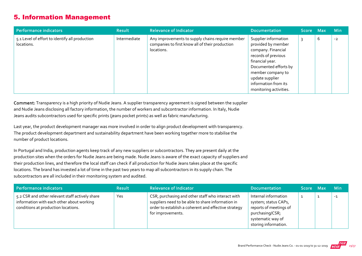## 5. Information Management

| Performance indicators                                       | <b>Result</b> | <b>Relevance of Indicator</b>                                                                                     | <b>Documentation</b>                                                                                                                                                                                                          | Score Max |   | <b>Min</b> |
|--------------------------------------------------------------|---------------|-------------------------------------------------------------------------------------------------------------------|-------------------------------------------------------------------------------------------------------------------------------------------------------------------------------------------------------------------------------|-----------|---|------------|
| 5.1 Level of effort to identify all production<br>locations. | Intermediate  | Any improvements to supply chains require member<br>companies to first know all of their production<br>locations. | Supplier information<br>provided by member<br>company. Financial<br>records of previous<br>financial year.<br>Documented efforts by<br>member company to<br>update supplier<br>information from its<br>monitoring activities. |           | b | $-2$       |

Comment: Transparency is a high priority of Nudie Jeans. A supplier transparency agreement is signed between the supplier and Nudie Jeans disclosing all factory information, the number of workers and subcontractor information. In Italy, Nudie Jeans audits subcontractors used for specific prints (jeans pocket prints) as well as fabric manufacturing.

Last year, the product development manager was more involved in order to align product development with transparency. The product development department and sustainability department have been working together more to stabilise the number of product locations.

In Portugal and India, production agents keep track of any new suppliers or subcontractors. They are present daily at the production sites when the orders for Nudie Jeans are being made. Nudie Jeans is aware of the exact capacity of suppliers and their production lines, and therefore the local staff can check if all production for Nudie Jeans takes place at the specific locations. The brand has invested a lot of time in the past two years to map all subcontractors in its supply chain. The subcontractors are all included in their monitoring system and audited.

| Performance indicators                                                                                                              | <b>Result</b> | <b>Relevance of Indicator</b>                                                                                                                                                       | <b>Documentation</b>                                                                                                                   | Score Max | <b>Min</b> |
|-------------------------------------------------------------------------------------------------------------------------------------|---------------|-------------------------------------------------------------------------------------------------------------------------------------------------------------------------------------|----------------------------------------------------------------------------------------------------------------------------------------|-----------|------------|
| 5.2 CSR and other relevant staff actively share<br>information with each other about working<br>conditions at production locations. | Yes           | CSR, purchasing and other staff who interact with<br>suppliers need to be able to share information in<br>order to establish a coherent and effective strategy<br>for improvements. | Internal information<br>system; status CAPs,<br>reports of meetings of<br>purchasing/CSR;<br>systematic way of<br>storing information. |           | $-1$       |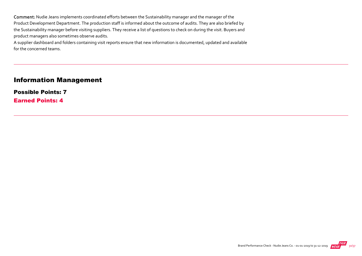Comment: Nudie Jeans implements coordinated efforts between the Sustainability manager and the manager of the Product Development Department. The production staff is informed about the outcome of audits. They are also briefed by the Sustainability manager before visiting suppliers. They receive a list of questions to check on during the visit. Buyers and product managers also sometimes observe audits.

A supplier dashboard and folders containing visit reports ensure that new information is documented, updated and available for the concerned teams.

#### Information Management

Possible Points: 7 Earned Points: 4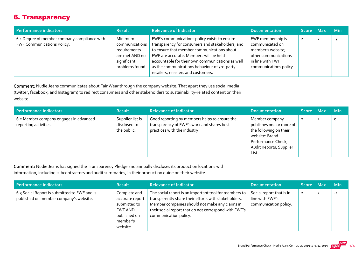## 6. Transparency

| Performance indicators                                                            | <b>Result</b>                                                                                | <b>Relevance of Indicator</b>                                                                                                                                                                                                                                                                                                       | <b>Documentation</b>                                                                                                            | Score Max      | <b>Min</b> |
|-----------------------------------------------------------------------------------|----------------------------------------------------------------------------------------------|-------------------------------------------------------------------------------------------------------------------------------------------------------------------------------------------------------------------------------------------------------------------------------------------------------------------------------------|---------------------------------------------------------------------------------------------------------------------------------|----------------|------------|
| 6.1 Degree of member company compliance with<br><b>FWF Communications Policy.</b> | Minimum<br>communications<br>requirements<br>are met AND no<br>significant<br>problems found | FWF's communications policy exists to ensure<br>transparency for consumers and stakeholders, and<br>to ensure that member communications about<br>FWF are accurate. Members will be held<br>accountable for their own communications as well<br>as the communications behaviour of 3rd-party<br>retailers, resellers and customers. | FWF membership is<br>communicated on<br>member's website;<br>other communications<br>in line with FWF<br>communications policy. | $\overline{2}$ | -२         |

Comment: Nudie Jeans communicates about Fair Wear through the company website. That apart they use social media (twitter, facebook, and Instagram) to redirect consumers and other stakeholders to sustainability‐related content on their website.

| Performance indicators                                          | <b>Result</b>                                   | <b>Relevance of Indicator</b>                                                                                               | <b>Documentation</b>                                                                                                                             | ا Score Max |                | <b>Min</b> |
|-----------------------------------------------------------------|-------------------------------------------------|-----------------------------------------------------------------------------------------------------------------------------|--------------------------------------------------------------------------------------------------------------------------------------------------|-------------|----------------|------------|
| 6.2 Member company engages in advanced<br>reporting activities. | Supplier list is<br>disclosed to<br>the public. | Good reporting by members helps to ensure the<br>transparency of FWF's work and shares best<br>practices with the industry. | Member company<br>publishes one or more of<br>the following on their<br>website: Brand<br>Performance Check,<br>Audit Reports, Supplier<br>List. |             | $\overline{2}$ | $\circ$    |

Comment: Nudie Jeans has signed the Transparency Pledge and annually discloses its production locations with information, including subcontractors and audit summaries, in their production guide on their website.

| Performance indicators                                                                 | <b>Result</b>                                                                                      | <b>Relevance of Indicator</b>                                                                                                                                                                                                                     | <b>Documentation</b>                                                 | <b>Score</b>   | <b>Max</b> | <b>Min</b> |
|----------------------------------------------------------------------------------------|----------------------------------------------------------------------------------------------------|---------------------------------------------------------------------------------------------------------------------------------------------------------------------------------------------------------------------------------------------------|----------------------------------------------------------------------|----------------|------------|------------|
| 6.3 Social Report is submitted to FWF and is<br>published on member company's website. | Complete and<br>accurate report<br>submitted to<br>FWF AND<br>published on<br>member's<br>website. | The social report is an important tool for members to<br>transparently share their efforts with stakeholders.<br>Member companies should not make any claims in<br>their social report that do not correspond with FWF's<br>communication policy. | Social report that is in<br>line with FWF's<br>communication policy. | $\overline{2}$ |            | $-1$       |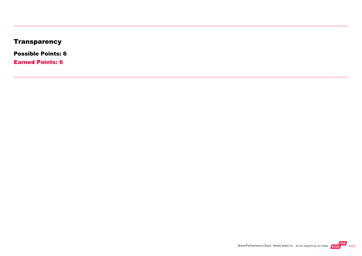## **Transparency**

Possible Points: 6

Earned Points: 6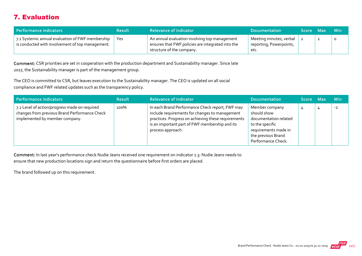## 7. Evaluation

| Performance indicators                                                                               | <b>Result</b> | <b>Relevance of Indicator</b>                                                                                                   | <b>Documentation</b>                                       | Score Max |                | – Min   |
|------------------------------------------------------------------------------------------------------|---------------|---------------------------------------------------------------------------------------------------------------------------------|------------------------------------------------------------|-----------|----------------|---------|
| 7.1 Systemic annual evaluation of FWF membership<br>is conducted with involvement of top management. | Yes           | An annual evaluation involving top management<br>ensures that FWF policies are integrated into the<br>structure of the company. | Meeting minutes, verbal<br>reporting, Powerpoints,<br>etc. |           | $\overline{2}$ | $\circ$ |

Comment: CSR priorities are set in cooperation with the production department and Sustainability manager. Since late 2017, the Sustainability manager is part of the management group.

The CEO is committed to CSR, but leaves execution to the Sustainability manager. The CEO is updated on all social compliance and FWF related updates such as the transparency policy.

| Performance indicators                                                                                                           | <b>Result</b> | <b>Relevance of Indicator</b>                                                                                                                                                                                                   | <b>Documentation</b>                                                                                                                          | Score Max |   | <b>Min</b> |
|----------------------------------------------------------------------------------------------------------------------------------|---------------|---------------------------------------------------------------------------------------------------------------------------------------------------------------------------------------------------------------------------------|-----------------------------------------------------------------------------------------------------------------------------------------------|-----------|---|------------|
| 7.2 Level of action/progress made on required<br>changes from previous Brand Performance Check<br>implemented by member company. | 100%          | In each Brand Performance Check report, FWF may<br>include requirements for changes to management<br>practices. Progress on achieving these requirements<br>is an important part of FWF membership and its<br>process approach. | Member company<br>should show<br>documentation related<br>to the specific<br>requirements made in<br>the previous Brand<br>Performance Check. | 4         | 4 | $-2$       |

Comment: In last year's performance check Nudie Jeans received one requirement on indicator 1.3: Nudie Jeans needs to ensure that new production locations sign and return the questionnaire before first orders are placed.

The brand followed up on this requirement.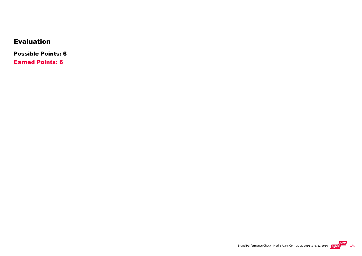## Evaluation

Possible Points: 6

Earned Points: 6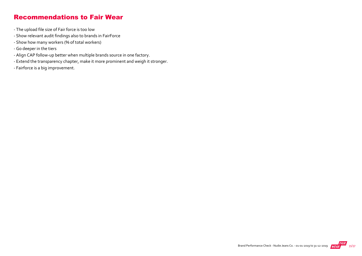#### Recommendations to Fair Wear

- ‐ The upload file size of Fair force is too low
- ‐ Show relevant audit findings also to brands in FairForce
- ‐ Show how many workers (% of total workers)
- ‐ Go deeper in the tiers
- ‐ Align CAP follow‐up better when multiple brands source in one factory.
- ‐ Extend the transparency chapter, make it more prominent and weigh it stronger.
- ‐ Fairforce is a big improvement.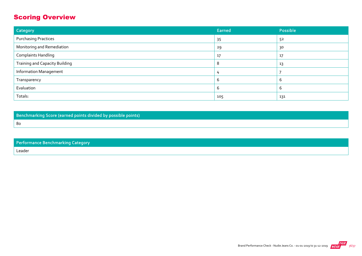## Scoring Overview

| Category                              | Earned | Possible |
|---------------------------------------|--------|----------|
| <b>Purchasing Practices</b>           | 35     | 52       |
| Monitoring and Remediation            | 29     | 30       |
| <b>Complaints Handling</b>            | 17     | 17       |
| <b>Training and Capacity Building</b> | 8      | 13       |
| <b>Information Management</b>         |        |          |
| Transparency                          |        | b        |
| Evaluation                            |        | ь        |
| Totals:                               | 105    | 131      |

Benchmarking Score (earned points divided by possible points)

Performance Benchmarking Category Leader

80

Brand Performance Check - Nudie Jeans Co. - 01-01-2019 to 31-12-2019 **INFAR** 36/37